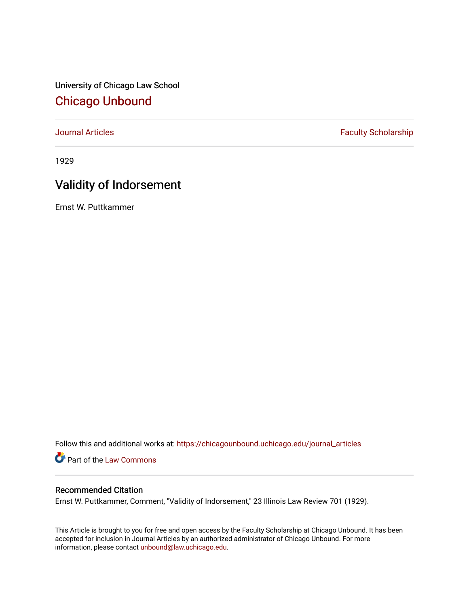University of Chicago Law School [Chicago Unbound](https://chicagounbound.uchicago.edu/)

[Journal Articles](https://chicagounbound.uchicago.edu/journal_articles) **Faculty Scholarship Faculty Scholarship** 

1929

## Validity of Indorsement

Ernst W. Puttkammer

Follow this and additional works at: [https://chicagounbound.uchicago.edu/journal\\_articles](https://chicagounbound.uchicago.edu/journal_articles?utm_source=chicagounbound.uchicago.edu%2Fjournal_articles%2F9580&utm_medium=PDF&utm_campaign=PDFCoverPages) 

Part of the [Law Commons](http://network.bepress.com/hgg/discipline/578?utm_source=chicagounbound.uchicago.edu%2Fjournal_articles%2F9580&utm_medium=PDF&utm_campaign=PDFCoverPages)

## Recommended Citation

Ernst W. Puttkammer, Comment, "Validity of Indorsement," 23 Illinois Law Review 701 (1929).

This Article is brought to you for free and open access by the Faculty Scholarship at Chicago Unbound. It has been accepted for inclusion in Journal Articles by an authorized administrator of Chicago Unbound. For more information, please contact [unbound@law.uchicago.edu](mailto:unbound@law.uchicago.edu).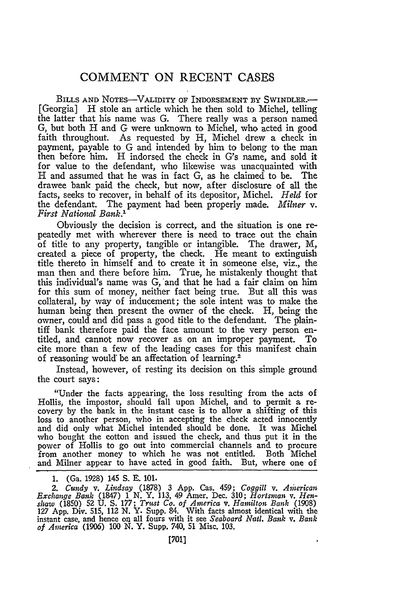## **COMMENT ON RECENT CASES**

BILLS AND NOTES-VALIDITY OF INDORSEMENT BY SWINDLER.<sup>---</sup> [Georgia] H stole an article which he then sold to Michel, telling the latter that his name was **G.** There really was a person named G, but both H and G were unknown to Michel, who acted in good faith throughout. As requested by H, Michel drew a check in payment, payable to G and intended by him to belong to the man then before him. H indorsed the check in G's name, and sold it for value to the defendant, who likewise was unacquainted with H and assumed that he was in fact G, as he claimed to be. The drawee bank paid the check, but now, after disclosure of all the facts, seeks to recover, in behalf of its depositor, Michel. *Held* for the defendant. The payment had been properly made. *MiMer v. First National Bank.'*

Obviously the decision is correct, and the situation is one repeatedly met with wherever there is need to trace out the chain of title to any property, tangible or intangible. The drawer, M, created a piece of property, the check. He meant to extinguish title thereto in himself and to create it in someone else, viz., the man then and there before him. True, he mistakenly thought that this individual's name was G, and that he had a fair claim on him for this sum of money, neither fact being true. But all this was collateral, by way of inducement; the sole intent was to make the human being then present the owner of the check. H, being the owner, could and did pass a good title to the defendant. The plaintiff bank therefore paid the face amount to the very person entitled, and cannot now recover as on an improper payment. To cite more than a few of the leading cases for this manifest chain of reasoning would be an affectation of learning.<sup>2</sup>

Instead, however, of resting its decision on this simple ground the court says:

"Under the facts appearing, the loss resulting from the acts of Hollis, the impostor, should fall upon Michel, and to permit a recovery by the bank in the instant case is to allow a shifting of this loss to another person, who in accepting the check acted innocently and did only what Michel intended should be done. It was Michel who bought the cotton and issued the check, and thus put it in the power of Hollis to go out into commercial channels and to procure from another money to which he was not entitled. Both Michel and Milner appear to have acted in good faith. But, where one of

<sup>1. (</sup>Ga. 1928) 145 S. **E.** 101.

*<sup>2.</sup>* Cundy *v. Lindsay* (1878) 3 **App.** Cas. 459; *Coggill v. Aiierican* Exchange Bank (1847) 1 N. Y. 113, 49 Amer. Dec. 310; Hortsman v. Hen-<br>shaw (1850) 52 U. S. 177; Trust Co. of America v. Hamilton Bank (1908)<br>127 App. Div. 515, 112 N. Y. Supp. 84. With facts almost identical with the instant case, and hence on all fours with it see *Seaboard Natt. Bank v. Bank of Anerica* (1906) 100 N. Y. Supp. 740, 51 Misc. 103.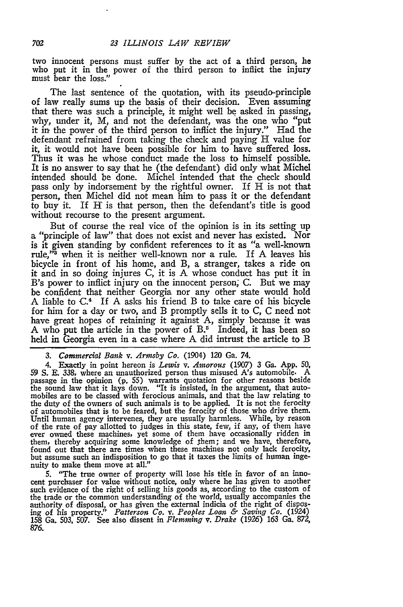two innocent persons must suffer by the act of a third person, he who put it in the power of the third person to inflict the injury must bear the loss."

The last sentence of the quotation, with its pseudo-principle of law really sums up the basis of their decision. Even assuming that there was such a principle, it might well be asked in passing, why, under it, M, and not the defendant, was the one who "put it in the power of the third person to inflict the injury." Had the defendant refrained from taking the check and paying H value for it, it would not have been possible for him to have suffered loss. Thus it was he whose conduct made the loss to himself possible. It is no answer to say that he (the defendant) did only what Michel intended should be done. Michel intended that the check should pass only **by** indorsement by the rightful owner. If H is not that person, then Michel did not mean him to pass it or the defendant to buy it. If H is that person, then the defendant's title is good without recourse to the present argument.

But of course the real vice of the opinion is in its setting up a "principle of law" that does not exist and never has existed. Nor is it given standing by confident references to it as "a well-known rule,"<sup>3</sup> when it is neither well-known nor a rule. If A leaves his bicycle in front of his home, and B, a stranger, takes a ride on it and in so doing injures C, it is **A** whose conduct has put it in B's power to inflict injury on the innocent person; C. But we may be confident that neither Georgia nor any other state would hold **A** liable to C.4 If A asks his friend B to take care of his bicycle for him for a day or two, and B promptly sells it to C, C need not have great hopes of retaining it against A, simply because it was A who put the article in the power of  $B<sup>5</sup>$  Indeed, it has been so held in Georgia even in a case where **A** did intrust the article to B

*3. Commercial Bank v. Arimsby Co.* (1904) 120 **Ga. 74.**

4. Exactly in point hereon is *Lewis v. Amorous* (1907) 3 Ga. App. 50, *59* S. E. 338, where an unauthorized person thus misused *A's* automobile. A passage in the opinion (p. 55) warrants quotation for other reasons beside<br>the sound law that it lays down. "It is insisted, in the argument, that auto-<br>mobiles are to be classed with ferocious animals, and that the law re the duty of the owners of such animals is to be applied. It is not the ferocity of automobiles that is to be feared, but the ferocity of those who drive them. Until human agency intervenes, they are usually harmless. While, by reason of the rate of pay allotted to judges in this state, few, if any, of them have ever owned these machines, yet some of them have occasionally ridden them, thereby acquiring some knowledge of them; and we have, therefore, found out that there are times when these machines not only lack ferocity, but assume such an indisposition to go that it taxes the limits of human ingenuity to make them move at all."

5. "The true owner of property will lose his title in favor of an innocent purchaser for value without notice, only where he has given to another such evidence of the right of selling his goods as, according to the custom of the trade or the common understanding of the world, usually accompanies the authority of disposal, or has given the external indicia of the right of disposing of his property." *Patterson Co. v. Peoples Loan & Saving Co.* (1924) **158** Ga. **503,** 507. See also dissent in *Flemminng v. Drake* (1926) 163 Ga. 872, 876.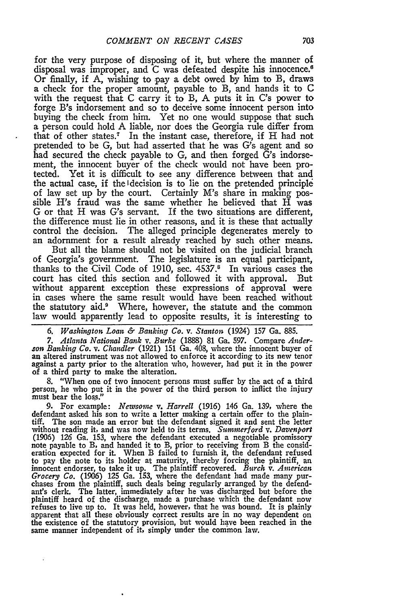for the very purpose of disposing of it, but where the manner of disposal was improper, and C was defeated despite his innocence.<sup>6</sup> Or finally, if A, wishing to pay a debt owed by him to B, draws a check for the proper amount, payable to B, and hands it to C with the request that C carry it to B, A puts it in C's power to forge B's indorsement and so to deceive some innocent person into buying the check from him. Yet no one would suppose that such a person could hold A liable, nor does the Georgia rule differ from that of other states.<sup>7</sup> In the instant case, therefore, if H had not pretended to be G, but had asserted that he was G's agent and so had secured the check payable to G, and then forged G's indorsement, the innocent buyer of the check would not have been protected. Yet it is difficult to see any difference between that and the actual case, if the ldecision is to lie on the pretended principle of law set up by the court. Certainly M's share in making possible H's fraud was the same whether he believed that H was G or that H was *G's* servant. If the two situations are different, the difference must lie in other reasons, and it is these that actually control the decision. The alleged principle degenerates merely to an adornment for a result already reached by such other means.

But all the blame should not be visited on the judicial branch of Georgia's government. The legislature is an equal participant, thanks to the Civil Code of 1910, sec. 4537.8 In various cases the court has cited this section and followed it with approval. But without apparent exception these expressions of approval were in cases where the same result would have been reached without the statutory aid.<sup>9</sup> Where, however, the statute and the common law would apparently lead to opposite results, it is interesting to

7. Atlanta National Bank v. Burke (1888) 81 Ga. 597. Compare Anderson Banking Co. v. Chandler (1921) 151 Ga. 408, where the innocent buyer of an altered instrument was not allowed to enforce it according to its new tenor against a party prior to the alteration who, however, had put it in the power of a third party to make the alteration.

**8.** "When one of two innocent persons must suffer by the act of a third person, he who put it in the power of the third person to inflict the injury must bear the loss."

**9.** For example: *Newsome v. Harrell* (1916) 146 Ga. **139,** where the defendant asked his son to write a letter making a certain offer to the plain- tiff. The son made an error but the defendant signed it and sent the letter without reading it, and was now held to its terms. *Suminerford v. Davenport* (1906) **126** Ga. **153,** where the defendant executed a negotiable promissory note payable to B, and handed it to B, prior to receiving from B the consid-eration expected for it. When B failed to furnish it, the defendant refused to pay the note to its holder at maturity, thereby forcing the plaintiff, an innocent endorser, to take it up. The plaintiff recovered. *Burch v. American Grocery Co.* (1906) **125** Ga. **153,** where the defendant had made many pur- chases from the plaintiff, such deals being regularly arranged **by** the defendant's clerk. The latter, immediately after he was discharged but before the plaintiff heard of the discharge, made a purchase which the defendant now refuses to live up to. It was held, however, that he was bound. It is plainly apparent that all these obviously correct results are in no way dependent on the existence of the statutory provision, but would have been reached in the same manner independent of it, simply under the common law.

*<sup>6.</sup> Washington Loan & Banking Co. v. Stanton* (1924) 157 Ga. 885.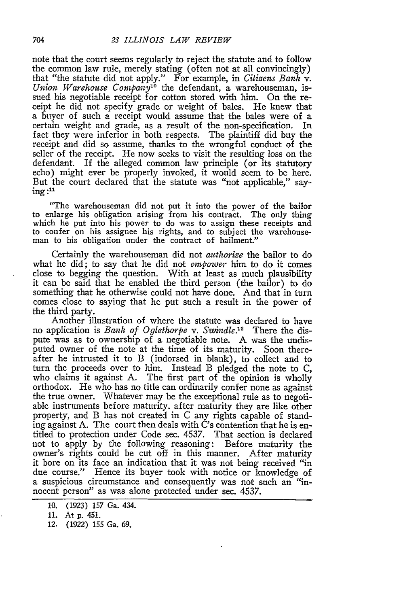note that the court seems regularly to reject the statute and to follow the common law rule, merely stating (often not at all convincingly) that "the statute did not apply." For example, in *Citizens Bank* v. *Union Warehouse Companyl'* the defendant, a warehouseman, issued his negotiable receipt for cotton stored with him. On the receipt he did not specify grade or weight of bales. He knew that a buyer of such a receipt would assume that the bales were of a certain weight and grade, as a result of the non-specification. In fact they were inferior in both respects. The plaintiff did buy the receipt and did so assume, thanks to the wrongful conduct of the seller of the receipt. He now seeks to visit the resulting loss on the defendant. If the alleged common law principle (or its statutory echo) might ever be properly invoked, it would seem to be here. But the court declared that the statute was "not applicable," say $ing:$ <sup>11</sup>

"The warehouseman did not put it into the power of the bailor to enlarge his obligation arising from his contract. The only thing which he put into his power to do was to assign these receipts and to confer on his assignee his rights, and to subject the warehouseman to his obligation under the contract of bailment."

Certainly the warehouseman did not *authorize* the bailor to do what he did; to say that he did not *empower* him to do it comes close to begging the question. With at least as much plausibility it can be said that he enabled the third person (the bailor) to do something that he otherwise could not have done. And that in turn comes close to saying that he put such a result in the power of the third party.

Another illustration of where the statute was declared to have no application is *Bank of Oglethorpe v. Swindle*.<sup>12</sup> There the dispute was as to ownership of a negotiable note. A was the undisputed owner of the note at the time of its maturity. Soon thereafter he intrusted it to B (indorsed in blank), to collect and to turn the proceeds over to him. Instead B pledged the note to C, who claims it against A. The first part of the opinion is wholly orthodox. He who has no title can ordinarily confer none as against the true owner. Whatever may be the exceptional rule as to negotiable instruments before maturity, after maturity they are like other property, and B has not created in C any rights capable of standing against A. The court then deals with C's contention that he is entitled to protection under Code sec. 4537. That section is declared not to apply by the following reasoning: Before maturity the owner's rights could be cut off in this manner. After maturity it bore on its face an indication that it was not being received "in due course." Hence its buyer took with notice or knowledge of a suspicious circumstance and consequently was not such an "innocent person" as was alone protected under sec. 4537.

<sup>10. (1923) 157</sup> Ga. 434.

<sup>11.</sup> At **p.** 451.

<sup>12. (1922) 155</sup> Ga. 69.